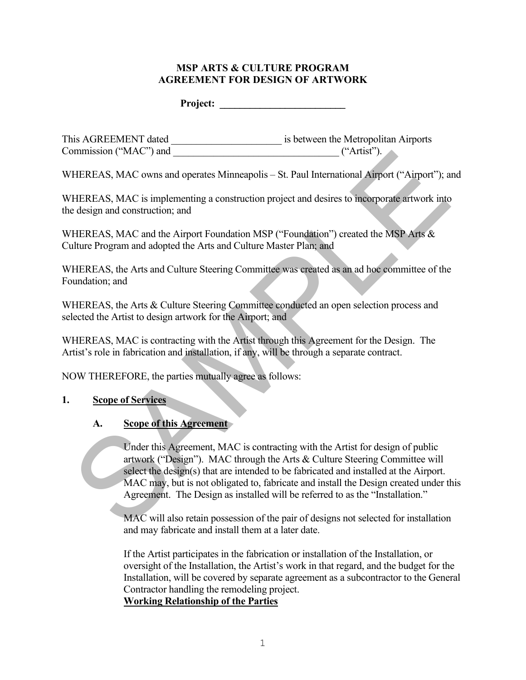#### **MSP ARTS & CULTURE PROGRAM AGREEMENT FOR DESIGN OF ARTWORK**

**Project:**  $\blacksquare$ 

This AGREEMENT dated \_\_\_\_\_\_\_\_\_\_\_\_\_\_\_\_\_\_\_\_\_\_ is between the Metropolitan Airports Commission ("MAC") and ("Artist").

WHEREAS, MAC owns and operates Minneapolis – St. Paul International Airport ("Airport"); and

WHEREAS, MAC is implementing a construction project and desires to incorporate artwork into the design and construction; and

WHEREAS, MAC and the Airport Foundation MSP ("Foundation") created the MSP Arts & Culture Program and adopted the Arts and Culture Master Plan; and

WHEREAS, the Arts and Culture Steering Committee was created as an ad hoc committee of the Foundation; and

WHEREAS, the Arts & Culture Steering Committee conducted an open selection process and selected the Artist to design artwork for the Airport; and

WHEREAS, MAC is contracting with the Artist through this Agreement for the Design. The Artist's role in fabrication and installation, if any, will be through a separate contract.

NOW THEREFORE, the parties mutually agree as follows:

#### **1. Scope of Services**

#### **A. Scope of this Agreement**

Under this Agreement, MAC is contracting with the Artist for design of public artwork ("Design"). MAC through the Arts & Culture Steering Committee will select the design(s) that are intended to be fabricated and installed at the Airport. MAC may, but is not obligated to, fabricate and install the Design created under this Agreement. The Design as installed will be referred to as the "Installation." ("Artist").<br>
THEREAS, MAC is implementing a construction project and desires to incorporate artwork into<br>
design and construction; and<br>
HEREAS, MAC is implementing a construction project and desires to incorporate artwork

MAC will also retain possession of the pair of designs not selected for installation and may fabricate and install them at a later date.

If the Artist participates in the fabrication or installation of the Installation, or oversight of the Installation, the Artist's work in that regard, and the budget for the Installation, will be covered by separate agreement as a subcontractor to the General Contractor handling the remodeling project.

**Working Relationship of the Parties**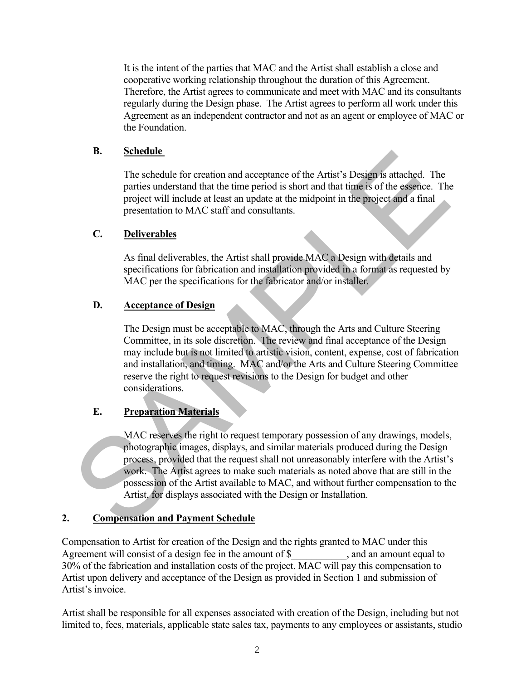It is the intent of the parties that MAC and the Artist shall establish a close and cooperative working relationship throughout the duration of this Agreement. Therefore, the Artist agrees to communicate and meet with MAC and its consultants regularly during the Design phase. The Artist agrees to perform all work under this Agreement as an independent contractor and not as an agent or employee of MAC or the Foundation.

#### **B. Schedule**

The schedule for creation and acceptance of the Artist's Design is attached. The parties understand that the time period is short and that time is of the essence. The project will include at least an update at the midpoint in the project and a final presentation to MAC staff and consultants.

## **C. Deliverables**

As final deliverables, the Artist shall provide MAC a Design with details and specifications for fabrication and installation provided in a format as requested by MAC per the specifications for the fabricator and/or installer.

## **D. Acceptance of Design**

The Design must be acceptable to MAC, through the Arts and Culture Steering Committee, in its sole discretion. The review and final acceptance of the Design may include but is not limited to artistic vision, content, expense, cost of fabrication and installation, and timing. MAC and/or the Arts and Culture Steering Committee reserve the right to request revisions to the Design for budget and other considerations. **Exhibitive**<br>
The schedule for creation and acceptance of the Artist's Design is attached. The<br>
particular understand that the time period is short and that time is of the essence. The<br>
project will include at least an up

## **E. Preparation Materials**

MAC reserves the right to request temporary possession of any drawings, models, photographic images, displays, and similar materials produced during the Design process, provided that the request shall not unreasonably interfere with the Artist's work. The Artist agrees to make such materials as noted above that are still in the possession of the Artist available to MAC, and without further compensation to the Artist, for displays associated with the Design or Installation.

#### **2. Compensation and Payment Schedule**

Compensation to Artist for creation of the Design and the rights granted to MAC under this Agreement will consist of a design fee in the amount of \$ , and an amount equal to 30% of the fabrication and installation costs of the project. MAC will pay this compensation to Artist upon delivery and acceptance of the Design as provided in Section 1 and submission of Artist's invoice.

Artist shall be responsible for all expenses associated with creation of the Design, including but not limited to, fees, materials, applicable state sales tax, payments to any employees or assistants, studio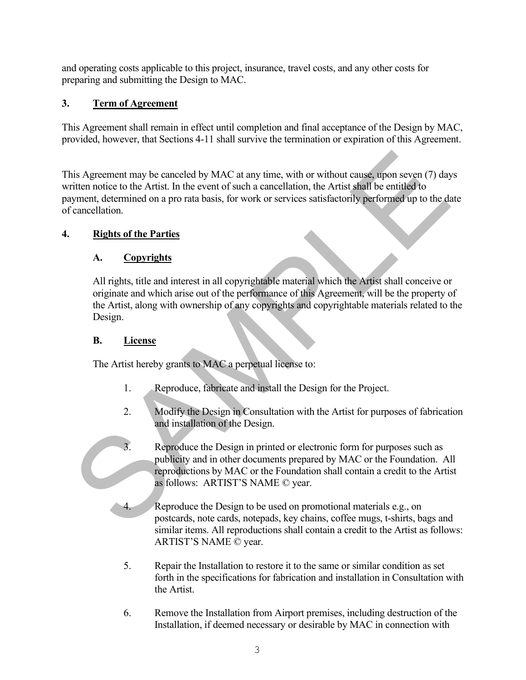and operating costs applicable to this project, insurance, travel costs, and any other costs for preparing and submitting the Design to MAC.

# **3. Term of Agreement**

This Agreement shall remain in effect until completion and final acceptance of the Design by MAC, provided, however, that Sections 4-11 shall survive the termination or expiration of this Agreement.

This Agreement may be canceled by MAC at any time, with or without cause, upon seven (7) days written notice to the Artist. In the event of such a cancellation, the Artist shall be entitled to payment, determined on a pro rata basis, for work or services satisfactorily performed up to the date of cancellation. this Agreement may be canceled by MAC at any time, with or without eauss, upon seven (7) day<br>
initen notice to the Artist. In the event of such a cancellation, the Artist shall be entitled to<br>
invient, determined on a pro

## **4. Rights of the Parties**

## **A. Copyrights**

All rights, title and interest in all copyrightable material which the Artist shall conceive or originate and which arise out of the performance of this Agreement, will be the property of the Artist, along with ownership of any copyrights and copyrightable materials related to the Design.

#### **B. License**

The Artist hereby grants to MAC a perpetual license to:

- 1. Reproduce, fabricate and install the Design for the Project.
- 2. Modify the Design in Consultation with the Artist for purposes of fabrication and installation of the Design.
- 3. Reproduce the Design in printed or electronic form for purposes such as publicity and in other documents prepared by MAC or the Foundation. All reproductions by MAC or the Foundation shall contain a credit to the Artist as follows: ARTIST'S NAME © year.
- 4. Reproduce the Design to be used on promotional materials e.g., on postcards, note cards, notepads, key chains, coffee mugs, t-shirts, bags and similar items. All reproductions shall contain a credit to the Artist as follows: ARTIST'S NAME © year.
- 5. Repair the Installation to restore it to the same or similar condition as set forth in the specifications for fabrication and installation in Consultation with the Artist.
- 6. Remove the Installation from Airport premises, including destruction of the Installation, if deemed necessary or desirable by MAC in connection with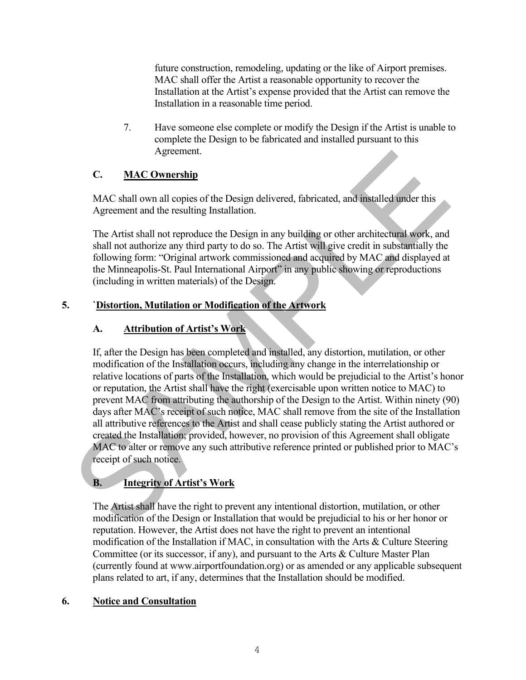future construction, remodeling, updating or the like of Airport premises. MAC shall offer the Artist a reasonable opportunity to recover the Installation at the Artist's expense provided that the Artist can remove the Installation in a reasonable time period.

7. Have someone else complete or modify the Design if the Artist is unable to complete the Design to be fabricated and installed pursuant to this Agreement.

## **C. MAC Ownership**

MAC shall own all copies of the Design delivered, fabricated, and installed under this Agreement and the resulting Installation.

The Artist shall not reproduce the Design in any building or other architectural work, and shall not authorize any third party to do so. The Artist will give credit in substantially the following form: "Original artwork commissioned and acquired by MAC and displayed at the Minneapolis-St. Paul International Airport" in any public showing or reproductions (including in written materials) of the Design.

## **5. `Distortion, Mutilation or Modification of the Artwork**

# **A. Attribution of Artist's Work**

If, after the Design has been completed and installed, any distortion, mutilation, or other modification of the Installation occurs, including any change in the interrelationship or relative locations of parts of the Installation, which would be prejudicial to the Artist's honor or reputation, the Artist shall have the right (exercisable upon written notice to MAC) to prevent MAC from attributing the authorship of the Design to the Artist. Within ninety (90) days after MAC's receipt of such notice, MAC shall remove from the site of the Installation all attributive references to the Artist and shall cease publicly stating the Artist authored or created the Installation; provided, however, no provision of this Agreement shall obligate MAC to alter or remove any such attributive reference printed or published prior to MAC's receipt of such notice. Agreement.<br>
C. **MAC Ownership**<br>
MAC shall own all copics of the Design delivered, fabricated, and installed under this<br>
Agreement and the resulting Installation.<br>
The Artist shall not reproduce the Design in any building

# **B. Integrity of Artist's Work**

The Artist shall have the right to prevent any intentional distortion, mutilation, or other modification of the Design or Installation that would be prejudicial to his or her honor or reputation. However, the Artist does not have the right to prevent an intentional modification of the Installation if MAC, in consultation with the Arts & Culture Steering Committee (or its successor, if any), and pursuant to the Arts & Culture Master Plan (currently found at www.airportfoundation.org) or as amended or any applicable subsequent plans related to art, if any, determines that the Installation should be modified.

# **6. Notice and Consultation**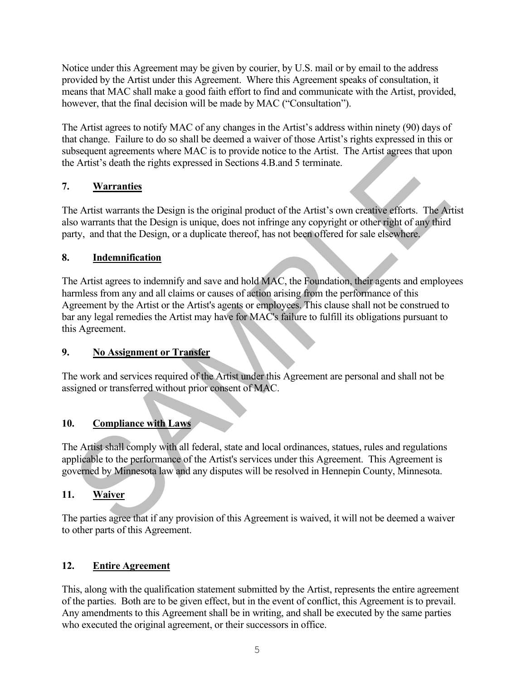Notice under this Agreement may be given by courier, by U.S. mail or by email to the address provided by the Artist under this Agreement. Where this Agreement speaks of consultation, it means that MAC shall make a good faith effort to find and communicate with the Artist, provided, however, that the final decision will be made by MAC ("Consultation").

The Artist agrees to notify MAC of any changes in the Artist's address within ninety (90) days of that change. Failure to do so shall be deemed a waiver of those Artist's rights expressed in this or subsequent agreements where MAC is to provide notice to the Artist. The Artist agrees that upon the Artist's death the rights expressed in Sections 4.B.and 5 terminate.

# **7. Warranties**

The Artist warrants the Design is the original product of the Artist's own creative efforts. The Artist also warrants that the Design is unique, does not infringe any copyright or other right of any third party, and that the Design, or a duplicate thereof, has not been offered for sale elsewhere.

## **8. Indemnification**

The Artist agrees to indemnify and save and hold MAC, the Foundation, their agents and employees harmless from any and all claims or causes of action arising from the performance of this Agreement by the Artist or the Artist's agents or employees. This clause shall not be construed to bar any legal remedies the Artist may have for MAC's failure to fulfill its obligations pursuant to this Agreement. Solution agreements where MAC is to provide notec to the Artist. The Artist agrees that upon<br>
c Artist's death the rights expressed in Sections 4.B.and 5 terminate.<br> **Warranties**<br>
the Artist warrants the Design is the orig

## **9. No Assignment or Transfer**

The work and services required of the Artist under this Agreement are personal and shall not be assigned or transferred without prior consent of MAC.

# **10. Compliance with Laws**

The Artist shall comply with all federal, state and local ordinances, statues, rules and regulations applicable to the performance of the Artist's services under this Agreement. This Agreement is governed by Minnesota law and any disputes will be resolved in Hennepin County, Minnesota.

# **11. Waiver**

The parties agree that if any provision of this Agreement is waived, it will not be deemed a waiver to other parts of this Agreement.

# **12. Entire Agreement**

This, along with the qualification statement submitted by the Artist, represents the entire agreement of the parties. Both are to be given effect, but in the event of conflict, this Agreement is to prevail. Any amendments to this Agreement shall be in writing, and shall be executed by the same parties who executed the original agreement, or their successors in office.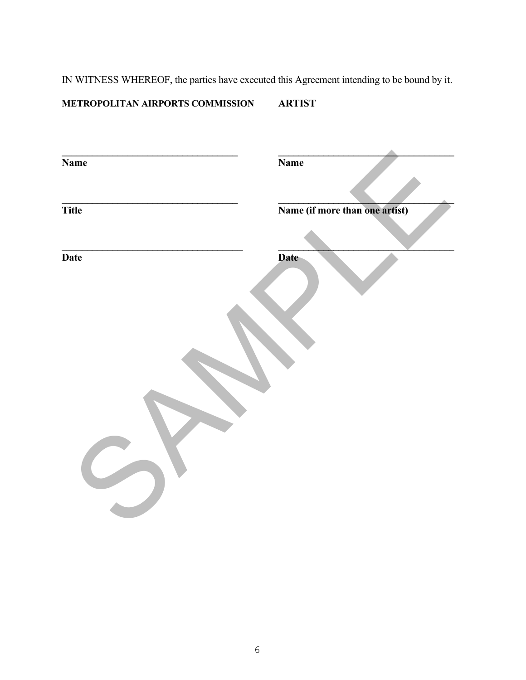IN WITNESS WHEREOF, the parties have executed this Agreement intending to be bound by it.

# **METROPOLITAN AIRPORTS COMMISSION ARTIST**

| <b>Name</b>  | <b>Name</b>                    |
|--------------|--------------------------------|
| <b>Title</b> | Name (if more than one artist) |
| Date         | Date                           |